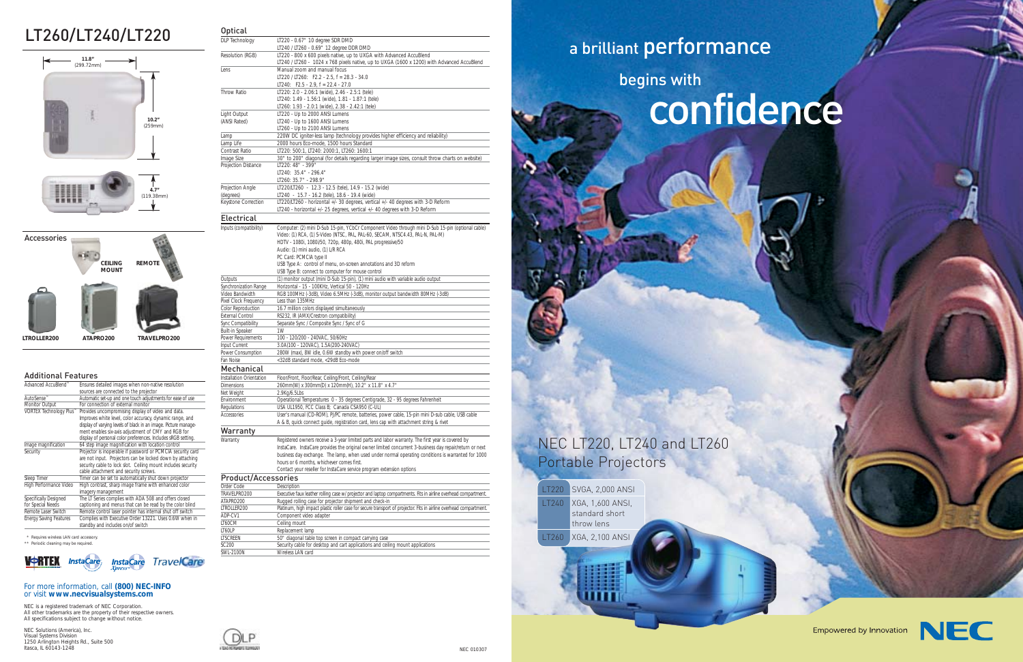NEC 010307

#### For more information, call **(800) NEC-INFO**  or visit **www.necvisualsystems.com**

NEC is a registered trademark of NEC Corporation. All other trademarks are the property of their respective owners. All specifications subject to change without notice.

NEC Solutions (America), Inc. Visual Systems Division 1250 Arlington Heights Rd., Suite 500 Itasca, IL 60143-1248

# LT260/LT240/LT220

## NEC LT220, LT240 and LT260 Portable Projectors



\* Requires wireless LAN card accessory. \*\* Periodic cleaning may be required.



LT220 SVGA, 2,000 ANSI LT240 XGA, 1,600 ANSI, standard short throw lens LT260 XGA, 2,100 ANS



#### Additional Features

| Advanced AccuBlend™           | Ensures detailed images when non-native resolution              |
|-------------------------------|-----------------------------------------------------------------|
|                               | sources are connected to the projector                          |
| AutoSense <sup>™</sup>        | Automatic set-up and one touch adjustments for ease of use      |
| Monitor Output                | For connection of external monitor                              |
| VORTEX Technology Plus™       | Provides uncompromising display of video and data.              |
|                               | Improves white level, color accuracy, dynamic range, and        |
|                               | display of varying levels of black in an image. Picture manage- |
|                               | ment enables six-axis adjustment of CMY and RGB for             |
|                               | display of personal color preferences. Includes sRGB setting.   |
| Image magnification           | 64 step image magnification with location control               |
| Security                      | Projector is inoperable if password or PCMCIA security card     |
|                               | are not input. Projectors can be locked down by attaching       |
|                               | security cable to lock slot. Ceiling mount includes security    |
|                               | cable attachment and security screws.                           |
| Sleep Timer                   | Timer can be set to automatically shut down projector           |
| High Performance Video        | High contrast, sharp image frame with enhanced color            |
|                               | imagery management                                              |
| Specifically Designed         | The LT Series complies with ADA 508 and offers closed           |
| for Special Needs             | captioning and menus that can be read by the color blind        |
| Remote Laser Switch           | Remote control laser pointer has internal shut off switch       |
| <b>Energy Saving Features</b> | Complies with Executive Order 13221. Uses 0.6W when in          |
|                               | standby and includes on/of switch                               |

begins with

# a brilliant performance

# confidence

Empowered by Innovation